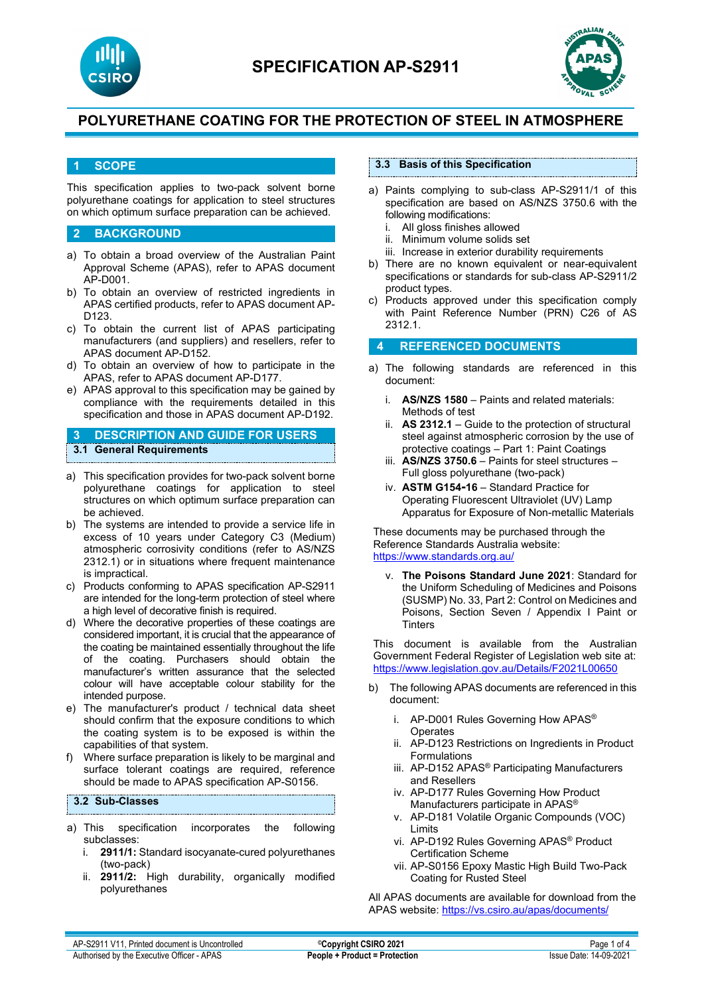



## **1 SCOPE**

This specification applies to two-pack solvent borne polyurethane coatings for application to steel structures on which optimum surface preparation can be achieved.

### **2 BACKGROUND**

- a) To obtain a broad overview of the Australian Paint Approval Scheme (APAS), refer to APAS document AP-D001.
- b) To obtain an overview of restricted ingredients in APAS certified products, refer to APAS document AP-D123.
- c) To obtain the current list of APAS participating manufacturers (and suppliers) and resellers, refer to APAS document AP-D152.
- d) To obtain an overview of how to participate in the APAS, refer to APAS document AP-D177.
- e) APAS approval to this specification may be gained by compliance with the requirements detailed in this specification and those in APAS document AP-D192.

**3 DESCRIPTION AND GUIDE FOR USERS 3.1 General Requirements**

- a) This specification provides for two-pack solvent borne polyurethane coatings for application to steel structures on which optimum surface preparation can be achieved.
- b) The systems are intended to provide a service life in excess of 10 years under Category C3 (Medium) atmospheric corrosivity conditions (refer to AS/NZS 2312.1) or in situations where frequent maintenance is impractical.
- c) Products conforming to APAS specification AP-S2911 are intended for the long-term protection of steel where a high level of decorative finish is required.
- d) Where the decorative properties of these coatings are considered important, it is crucial that the appearance of the coating be maintained essentially throughout the life of the coating. Purchasers should obtain the manufacturer's written assurance that the selected colour will have acceptable colour stability for the intended purpose.
- e) The manufacturer's product / technical data sheet should confirm that the exposure conditions to which the coating system is to be exposed is within the capabilities of that system.
- f) Where surface preparation is likely to be marginal and surface tolerant coatings are required, reference should be made to APAS specification AP-S0156.

## **3.2 Sub-Classes**

- a) This specification incorporates the following subclasses:
	- i. **2911/1:** Standard isocyanate-cured polyurethanes (two-pack)
	- ii. **2911/2:** High durability, organically modified polyurethanes

## **3.3 Basis of this Specification**

- a) Paints complying to sub-class AP-S2911/1 of this specification are based on AS/NZS 3750.6 with the
	- following modifications:<br>i. All gloss finishes all i. All gloss finishes allowed<br>ii Minimum volume solids s
	- Minimum volume solids set
	- iii. Increase in exterior durability requirements
- b) There are no known equivalent or near-equivalent specifications or standards for sub-class AP-S2911/2 product types.
- c) Products approved under this specification comply with Paint Reference Number (PRN) C26 of AS 2312.1.

## **4 REFERENCED DOCUMENTS**

- a) The following standards are referenced in this document:
	- i. **AS/NZS 1580** Paints and related materials: Methods of test
	- ii. **AS 2312.1** Guide to the protection of structural steel against atmospheric corrosion by the use of protective coatings – Part 1: Paint Coatings
	- iii. **AS/NZS 3750.6**  Paints for steel structures Full gloss polyurethane (two-pack)
	- iv. **ASTM G154-16** Standard Practice for Operating Fluorescent Ultraviolet (UV) Lamp Apparatus for Exposure of Non-metallic Materials

These documents may be purchased through the Reference Standards Australia website: <https://www.standards.org.au/>

v. **The Poisons Standard June 2021**: Standard for the Uniform Scheduling of Medicines and Poisons (SUSMP) No. 33, Part 2: Control on Medicines and Poisons, Section Seven / Appendix I Paint or **Tinters** 

This document is available from the Australian Government Federal Register of Legislation web site at: <https://www.legislation.gov.au/Details/F2021L00650>

- b) The following APAS documents are referenced in this document:
	- i. AP-D001 Rules Governing How APAS® **Operates**
	- ii. AP-D123 Restrictions on Ingredients in Product Formulations
	- iii. AP-D152 APAS® Participating Manufacturers and Resellers
	- iv. AP-D177 Rules Governing How Product Manufacturers participate in APAS®
	- v. AP-D181 Volatile Organic Compounds (VOC) Limits
	- vi. AP-D192 Rules Governing APAS® Product Certification Scheme
	- vii. AP-S0156 Epoxy Mastic High Build Two-Pack Coating for Rusted Steel

All APAS documents are available for download from the APAS website: <https://vs.csiro.au/apas/documents/>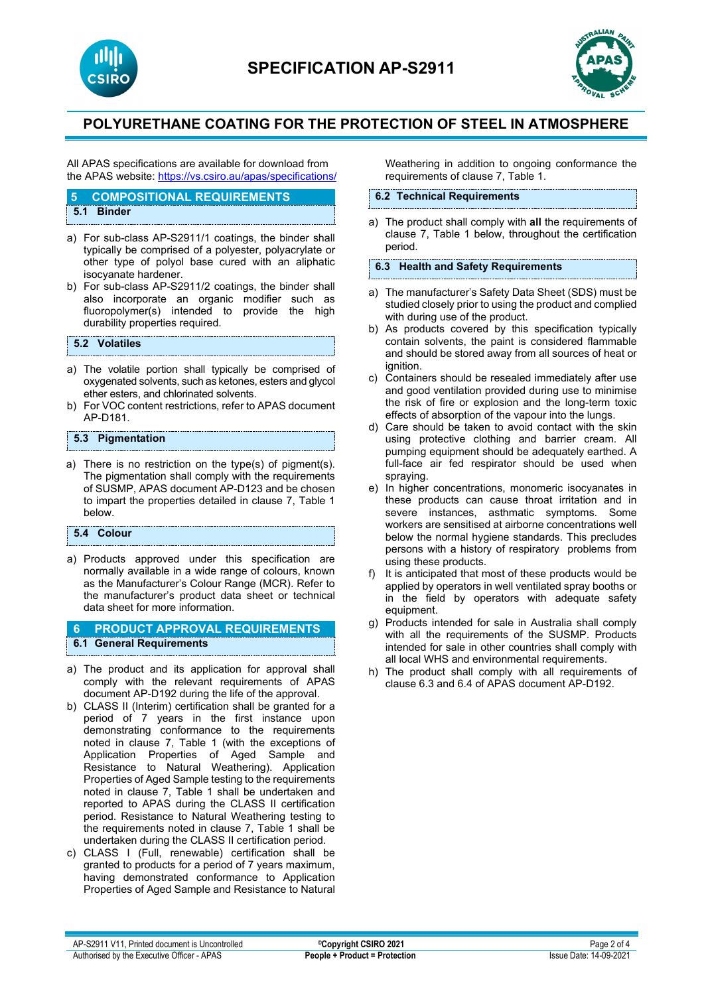



All APAS specifications are available for download from the APAS website: <https://vs.csiro.au/apas/specifications/>

#### **5 COMPOSITIONAL REQUIREMENTS**

**5.1 Binder**

- a) For sub-class AP-S2911/1 coatings, the binder shall typically be comprised of a polyester, polyacrylate or other type of polyol base cured with an aliphatic isocyanate hardener.
- b) For sub-class AP-S2911/2 coatings, the binder shall also incorporate an organic modifier such as<br>fluoropolymer(s) intended to provide the high fluoropolymer(s) intended to durability properties required.

### **5.2 Volatiles**

- a) The volatile portion shall typically be comprised of oxygenated solvents, such as ketones, esters and glycol ether esters, and chlorinated solvents.
- b) For VOC content restrictions, refer to APAS document AP-D181.

## **5.3 Pigmentation**

a) There is no restriction on the type(s) of pigment(s). The pigmentation shall comply with the requirements of SUSMP, APAS document AP-D123 and be chosen to impart the properties detailed in clause 7, Table 1 below.

#### **5.4 Colour**

a) Products approved under this specification are normally available in a wide range of colours, known as the Manufacturer's Colour Range (MCR). Refer to the manufacturer's product data sheet or technical data sheet for more information.

## **6 PRODUCT APPROVAL REQUIREMENTS 6.1 General Requirements**

- a) The product and its application for approval shall comply with the relevant requirements of APAS document AP-D192 during the life of the approval.
- b) CLASS II (Interim) certification shall be granted for a period of 7 years in the first instance upon demonstrating conformance to the requirements noted in clause 7, Table 1 (with the exceptions of Application Properties of Aged Sample and Resistance to Natural Weathering). Application Properties of Aged Sample testing to the requirements noted in clause 7, Table 1 shall be undertaken and reported to APAS during the CLASS II certification period. Resistance to Natural Weathering testing to the requirements noted in clause 7, Table 1 shall be undertaken during the CLASS II certification period.
- c) CLASS I (Full, renewable) certification shall be granted to products for a period of 7 years maximum, having demonstrated conformance to Application Properties of Aged Sample and Resistance to Natural

Weathering in addition to ongoing conformance the requirements of clause 7, Table 1.

### **6.2 Technical Requirements**

a) The product shall comply with **all** the requirements of clause 7, Table 1 below, throughout the certification period.

## **6.3 Health and Safety Requirements**

- a) The manufacturer's Safety Data Sheet (SDS) must be studied closely prior to using the product and complied with during use of the product.
- b) As products covered by this specification typically contain solvents, the paint is considered flammable and should be stored away from all sources of heat or ignition.
- c) Containers should be resealed immediately after use and good ventilation provided during use to minimise the risk of fire or explosion and the long-term toxic effects of absorption of the vapour into the lungs.
- d) Care should be taken to avoid contact with the skin using protective clothing and barrier cream. All pumping equipment should be adequately earthed. A full-face air fed respirator should be used when spraying.
- e) In higher concentrations, monomeric isocyanates in these products can cause throat irritation and in severe instances, asthmatic symptoms. Some workers are sensitised at airborne concentrations well below the normal hygiene standards. This precludes persons with a history of respiratory problems from using these products.
- f) It is anticipated that most of these products would be applied by operators in well ventilated spray booths or in the field by operators with adequate safety equipment.
- g) Products intended for sale in Australia shall comply with all the requirements of the SUSMP. Products intended for sale in other countries shall comply with all local WHS and environmental requirements.
- h) The product shall comply with all requirements of clause 6.3 and 6.4 of APAS document AP-D192.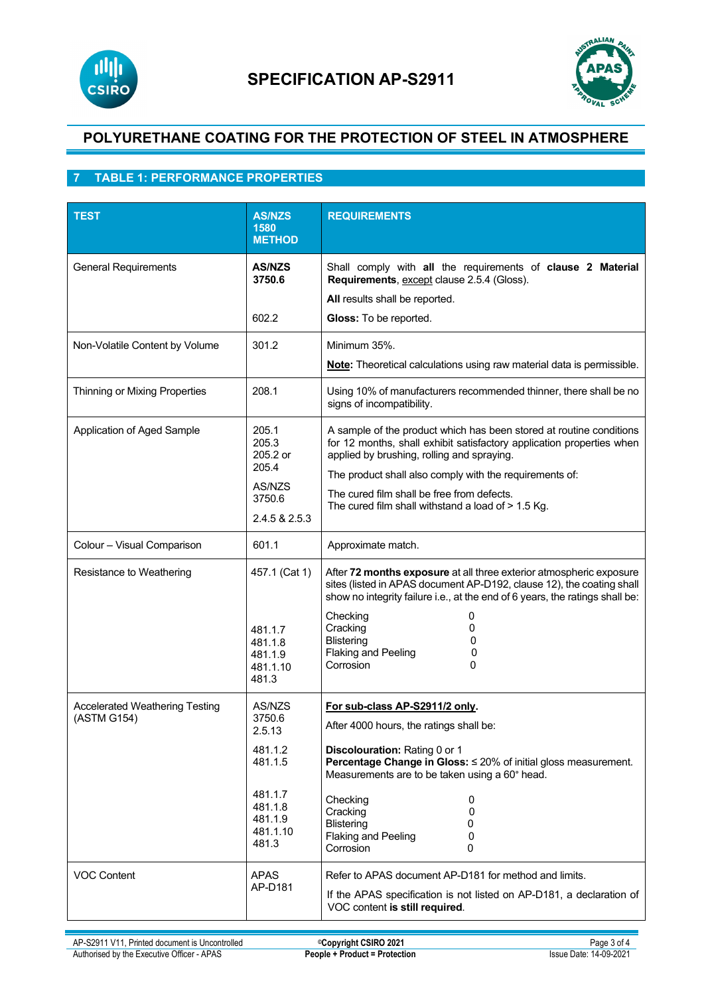



## **7 TABLE 1: PERFORMANCE PROPERTIES**

| <b>TEST</b>                                          | <b>AS/NZS</b><br>1580<br><b>METHOD</b>                                                                 | <b>REQUIREMENTS</b>                                                                                                                                                                                                                                                                                                                                       |
|------------------------------------------------------|--------------------------------------------------------------------------------------------------------|-----------------------------------------------------------------------------------------------------------------------------------------------------------------------------------------------------------------------------------------------------------------------------------------------------------------------------------------------------------|
| <b>General Requirements</b>                          | <b>AS/NZS</b><br>3750.6<br>602.2                                                                       | Shall comply with all the requirements of clause 2 Material<br>Requirements, except clause 2.5.4 (Gloss).<br>All results shall be reported.<br>Gloss: To be reported.                                                                                                                                                                                     |
| Non-Volatile Content by Volume                       | 301.2                                                                                                  | Minimum 35%.<br>Note: Theoretical calculations using raw material data is permissible.                                                                                                                                                                                                                                                                    |
| Thinning or Mixing Properties                        | 208.1                                                                                                  | Using 10% of manufacturers recommended thinner, there shall be no<br>signs of incompatibility.                                                                                                                                                                                                                                                            |
| Application of Aged Sample                           | 205.1<br>205.3<br>205.2 or<br>205.4<br>AS/NZS<br>3750.6<br>2.4.5 & 2.5.3                               | A sample of the product which has been stored at routine conditions<br>for 12 months, shall exhibit satisfactory application properties when<br>applied by brushing, rolling and spraying.<br>The product shall also comply with the requirements of:<br>The cured film shall be free from defects.<br>The cured film shall withstand a load of > 1.5 Kg. |
| Colour - Visual Comparison                           | 601.1                                                                                                  | Approximate match.                                                                                                                                                                                                                                                                                                                                        |
| Resistance to Weathering                             | 457.1 (Cat 1)<br>481.1.7<br>481.1.8<br>481.1.9<br>481.1.10<br>481.3                                    | After 72 months exposure at all three exterior atmospheric exposure<br>sites (listed in APAS document AP-D192, clause 12), the coating shall<br>show no integrity failure i.e., at the end of 6 years, the ratings shall be:<br>Checking<br>0<br>Cracking<br>0<br>Blistering<br>0<br><b>Flaking and Peeling</b><br>0<br>Corrosion<br>0                    |
| <b>Accelerated Weathering Testing</b><br>(ASTM G154) | AS/NZS<br>3750.6<br>2.5.13<br>481.1.2<br>481.1.5<br>481.1.7<br>481.1.8<br>481.1.9<br>481.1.10<br>481.3 | For sub-class AP-S2911/2 only.<br>After 4000 hours, the ratings shall be:<br>Discolouration: Rating 0 or 1<br>Percentage Change in Gloss: ≤ 20% of initial gloss measurement.<br>Measurements are to be taken using a 60° head.<br>Checking<br>0<br>Cracking<br>0<br><b>Blistering</b><br>0<br><b>Flaking and Peeling</b><br>0<br>Corrosion<br>0          |
| <b>VOC Content</b>                                   | <b>APAS</b><br>AP-D181                                                                                 | Refer to APAS document AP-D181 for method and limits.<br>If the APAS specification is not listed on AP-D181, a declaration of<br>VOC content is still required.                                                                                                                                                                                           |